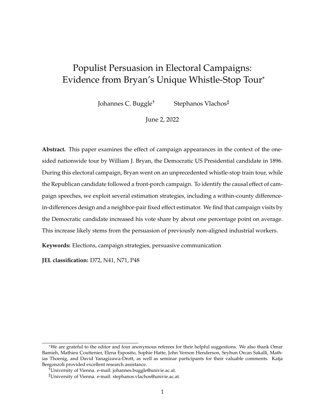# <span id="page-0-0"></span>Populist Persuasion in Electoral Campaigns: Evidence from Bryan's Unique Whistle-Stop Tour\*

Johannes C. Buggle† Stephanos Vlachos‡

June 2, 2022

**Abstract.** This paper examines the effect of campaign appearances in the context of the onesided nationwide tour by William J. Bryan, the Democratic US Presidential candidate in 1896. During this electoral campaign, Bryan went on an unprecedented whistle-stop train tour, while the Republican candidate followed a front-porch campaign. To identify the causal effect of campaign speeches, we exploit several estimation strategies, including a within-county differencein-differences design and a neighbor-pair fixed effect estimator. We find that campaign visits by the Democratic candidate increased his vote share by about one percentage point on average. This increase likely stems from the persuasion of previously non-aligned industrial workers.

**Keywords:** Elections, campaign strategies, persuasive communication

**JEL classification:** D72, N41, N71, P48

<sup>\*</sup>We are grateful to the editor and four anonymous referees for their helpful suggestions. We also thank Omar Bamieh, Mathieu Couttenier, Elena Esposito, Sophie Hatte, John Vernon Henderson, Seyhun Orcan Sakalli, Mathias Thoenig, and David Yanagizawa-Drott, as well as seminar participants for their valuable comments. Katja Bergonzoli provided excellent research assistance.

<sup>†</sup>University of Vienna. e-mail: johannes.buggle@univie.ac.at.

<sup>‡</sup>University of Vienna. e-mail: stephanos.vlachos@univie.ac.at.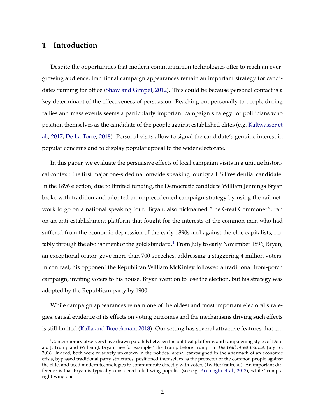# **1 Introduction**

Despite the opportunities that modern communication technologies offer to reach an evergrowing audience, traditional campaign appearances remain an important strategy for candidates running for office [\(Shaw and Gimpel,](#page-34-0) [2012\)](#page-34-0). This could be because personal contact is a key determinant of the effectiveness of persuasion. Reaching out personally to people during rallies and mass events seems a particularly important campaign strategy for politicians who position themselves as the candidate of the people against established elites (e.g. [Kaltwasser et](#page-33-0) [al.,](#page-33-0) [2017;](#page-33-0) [De La Torre,](#page-34-1) [2018\)](#page-34-1). Personal visits allow to signal the candidate's genuine interest in popular concerns and to display popular appeal to the wider electorate.

In this paper, we evaluate the persuasive effects of local campaign visits in a unique historical context: the first major one-sided nationwide speaking tour by a US Presidential candidate. In the 1896 election, due to limited funding, the Democratic candidate William Jennings Bryan broke with tradition and adopted an unprecedented campaign strategy by using the rail network to go on a national speaking tour. Bryan, also nicknamed "the Great Commoner", ran on an anti-establishment platform that fought for the interests of the common men who had suffered from the economic depression of the early 1890s and against the elite capitalists, no-tably through the abolishment of the gold standard.<sup>[1](#page-0-0)</sup> From July to early November 1896, Bryan, an exceptional orator, gave more than 700 speeches, addressing a staggering 4 million voters. In contrast, his opponent the Republican William McKinley followed a traditional front-porch campaign, inviting voters to his house. Bryan went on to lose the election, but his strategy was adopted by the Republican party by 1900.

While campaign appearances remain one of the oldest and most important electoral strategies, causal evidence of its effects on voting outcomes and the mechanisms driving such effects is still limited [\(Kalla and Broockman,](#page-33-1) [2018\)](#page-33-1). Our setting has several attractive features that en-

 $1$ Contemporary observers have drawn parallels between the political platforms and campaigning styles of Donald J. Trump and William J. Bryan. See for example "The Trump before Trump" in *The Wall Street Journal*, July 16, 2016. Indeed, both were relatively unknown in the political arena, campaigned in the aftermath of an economic crisis, bypassed traditional party structures, positioned themselves as the protector of the common people against the elite, and used modern technologies to communicate directly with voters (Twitter/railroad). An important difference is that Bryan is typically considered a left-wing populist (see e.g. [Acemoglu et al.,](#page-30-0) [2013\)](#page-30-0), while Trump a right-wing one.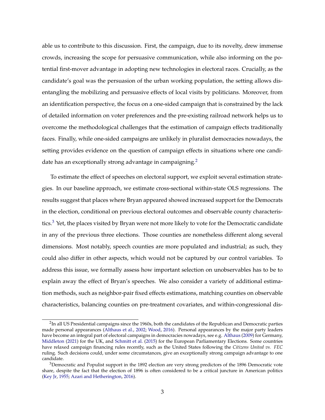able us to contribute to this discussion. First, the campaign, due to its novelty, drew immense crowds, increasing the scope for persuasive communication, while also informing on the potential first-mover advantage in adopting new technologies in electoral races. Crucially, as the candidate's goal was the persuasion of the urban working population, the setting allows disentangling the mobilizing and persuasive effects of local visits by politicians. Moreover, from an identification perspective, the focus on a one-sided campaign that is constrained by the lack of detailed information on voter preferences and the pre-existing railroad network helps us to overcome the methodological challenges that the estimation of campaign effects traditionally faces. Finally, while one-sided campaigns are unlikely in pluralist democracies nowadays, the setting provides evidence on the question of campaign effects in situations where one candi-date has an exceptionally strong advantage in campaigning.<sup>[2](#page-0-0)</sup>

To estimate the effect of speeches on electoral support, we exploit several estimation strategies. In our baseline approach, we estimate cross-sectional within-state OLS regressions. The results suggest that places where Bryan appeared showed increased support for the Democrats in the election, conditional on previous electoral outcomes and observable county characteris-tics.<sup>[3](#page-0-0)</sup> Yet, the places visited by Bryan were not more likely to vote for the Democratic candidate in any of the previous three elections. Those counties are nonetheless different along several dimensions. Most notably, speech counties are more populated and industrial; as such, they could also differ in other aspects, which would not be captured by our control variables. To address this issue, we formally assess how important selection on unobservables has to be to explain away the effect of Bryan's speeches. We also consider a variety of additional estimation methods, such as neighbor-pair fixed effects estimations, matching counties on observable characteristics, balancing counties on pre-treatment covariates, and within-congressional dis-

 $^2$ In all US Presidential campaigns since the 1960s, both the candidates of the Republican and Democratic parties made personal appearances [\(Althaus et al.,](#page-30-1) [2002;](#page-30-1) [Wood,](#page-34-2) [2016\)](#page-34-2). Personal appearances by the major party leaders have become an integral part of electoral campaigns in democracies nowadays, see e.g. [Althaus](#page-30-2) [\(2009\)](#page-30-2) for Germany, [Middleton](#page-33-2) [\(2021\)](#page-33-2) for the UK, and [Schmitt et al.](#page-33-3) [\(2015\)](#page-33-3) for the European Parliamentary Elections. Some countries have relaxed campaign financing rules recently, such as the United States following the *Citizens United vs. FEC* ruling. Such decisions could, under some circumstances, give an exceptionally strong campaign advantage to one candidate.

<sup>&</sup>lt;sup>3</sup>Democratic and Populist support in the 1892 election are very strong predictors of the 1896 Democratic vote share, despite the fact that the election of 1896 is often considered to be a critical juncture in American politics [\(Key Jr,](#page-33-4) [1955;](#page-33-4) [Azari and Hetherington,](#page-30-3) [2016\)](#page-30-3).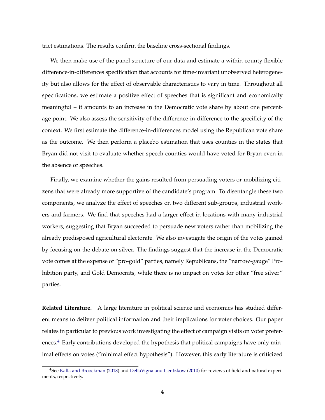trict estimations. The results confirm the baseline cross-sectional findings.

We then make use of the panel structure of our data and estimate a within-county flexible difference-in-differences specification that accounts for time-invariant unobserved heterogeneity but also allows for the effect of observable characteristics to vary in time. Throughout all specifications, we estimate a positive effect of speeches that is significant and economically meaningful – it amounts to an increase in the Democratic vote share by about one percentage point. We also assess the sensitivity of the difference-in-difference to the specificity of the context. We first estimate the difference-in-differences model using the Republican vote share as the outcome. We then perform a placebo estimation that uses counties in the states that Bryan did not visit to evaluate whether speech counties would have voted for Bryan even in the absence of speeches.

Finally, we examine whether the gains resulted from persuading voters or mobilizing citizens that were already more supportive of the candidate's program. To disentangle these two components, we analyze the effect of speeches on two different sub-groups, industrial workers and farmers. We find that speeches had a larger effect in locations with many industrial workers, suggesting that Bryan succeeded to persuade new voters rather than mobilizing the already predisposed agricultural electorate. We also investigate the origin of the votes gained by focusing on the debate on silver. The findings suggest that the increase in the Democratic vote comes at the expense of "pro-gold" parties, namely Republicans, the "narrow-gauge" Prohibition party, and Gold Democrats, while there is no impact on votes for other "free silver" parties.

**Related Literature.** A large literature in political science and economics has studied different means to deliver political information and their implications for voter choices. Our paper relates in particular to previous work investigating the effect of campaign visits on voter preferences. $4$  Early contributions developed the hypothesis that political campaigns have only minimal effects on votes ("minimal effect hypothesis"). However, this early literature is criticized

<sup>4</sup>See [Kalla and Broockman](#page-33-1) [\(2018\)](#page-33-1) and [DellaVigna and Gentzkow](#page-31-0) [\(2010\)](#page-31-0) for reviews of field and natural experiments, respectively.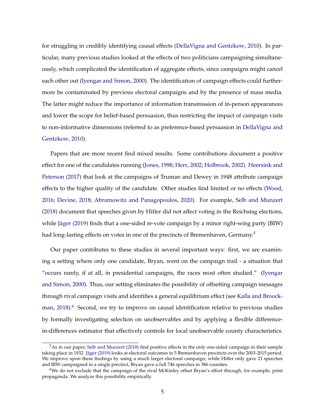for struggling in credibly identifying causal effects [\(DellaVigna and Gentzkow,](#page-31-0) [2010\)](#page-31-0). In particular, many previous studies looked at the effects of two politicians campaigning simultaneously, which complicated the identification of aggregate effects, since campaigns might cancel each other out [\(Iyengar and Simon,](#page-32-0) [2000\)](#page-32-0). The identification of campaign effects could furthermore be contaminated by previous electoral campaigns and by the presence of mass media. The latter might reduce the importance of information transmission of in-person appearances and lower the scope for belief-based persuasion, thus restricting the impact of campaign visits to non-informative dimensions (referred to as preference-based persuasion in [DellaVigna and](#page-31-0) [Gentzkow,](#page-31-0) [2010\)](#page-31-0).

Papers that are more recent find mixed results. Some contributions document a positive effect for one of the candidates running [\(Jones,](#page-32-1) [1998;](#page-32-1) [Herr,](#page-32-2) [2002;](#page-32-2) [Holbrook,](#page-32-3) [2002\)](#page-32-3). [Heersink and](#page-32-4) [Peterson](#page-32-4) [\(2017\)](#page-32-4) that look at the campaigns of Truman and Dewey in 1948 attribute campaign effects to the higher quality of the candidate. Other studies find limited or no effects [\(Wood,](#page-34-2) [2016;](#page-34-2) [Devine,](#page-31-1) [2018;](#page-31-1) [Abramowitz and Panagopoulos,](#page-30-4) [2020\)](#page-30-4). For example, [Selb and Munzert](#page-33-5) [\(2018\)](#page-33-5) document that speeches given by Hitler did not affect voting in the Reichstag elections, while [Jäger](#page-32-5) [\(2019\)](#page-32-5) finds that a one-sided re-vote campaign by a minor right-wing party (BIW) had long-lasting effects on votes in one of the precincts of Bremenhaven, Germany.<sup>[5](#page-0-0)</sup>

Our paper contributes to these studies in several important ways: first, we are examining a setting where only one candidate, Bryan, went on the campaign trail - a situation that "occurs rarely, if at all, in presidential campaigns, the races most often studied." [\(Iyengar](#page-32-0) [and Simon,](#page-32-0) [2000\)](#page-32-0). Thus, our setting eliminates the possibility of offsetting campaign messages through rival campaign visits and identifies a general equilibrium effect (see [Kalla and Broock](#page-33-1)[man,](#page-33-1)  $2018$ <sup>[6](#page-0-0)</sup> Second, we try to improve on causal identification relative to previous studies by formally investigating selection on unobservables and by applying a flexible differencein-differences estimator that effectively controls for local unobservable county characteristics.

 $5$ As in our paper, [Selb and Munzert](#page-33-5) [\(2018\)](#page-33-5) find positive effects in the only one-sided campaign in their sample taking place in 1932. [Jäger](#page-32-5) [\(2019\)](#page-32-5) looks at electoral outcomes in 5 Bremenhaven precincts over the 2003-2015 period. We improve upon these findings by using a much larger electoral campaign; while Hitler only gave 21 speeches and BIW campaigned in a single precinct, Bryan gave a full 746 speeches in 386 counties.

<sup>6</sup>We do not exclude that the campaign of the rival McKinley offset Bryan's effort through, for example, print propaganda. We analyze this possibility empirically.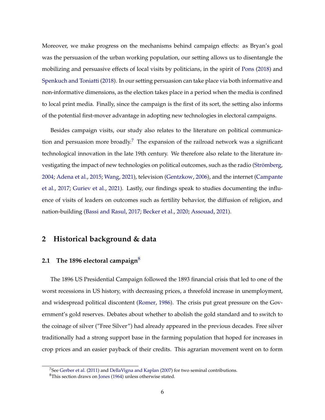Moreover, we make progress on the mechanisms behind campaign effects: as Bryan's goal was the persuasion of the urban working population, our setting allows us to disentangle the mobilizing and persuasive effects of local visits by politicians, in the spirit of [Pons](#page-33-6) [\(2018\)](#page-33-6) and [Spenkuch and Toniatti](#page-34-3) [\(2018\)](#page-34-3). In our setting persuasion can take place via both informative and non-informative dimensions, as the election takes place in a period when the media is confined to local print media. Finally, since the campaign is the first of its sort, the setting also informs of the potential first-mover advantage in adopting new technologies in electoral campaigns.

Besides campaign visits, our study also relates to the literature on political communica-tion and persuasion more broadly.<sup>[7](#page-0-0)</sup> The expansion of the railroad network was a significant technological innovation in the late 19th century. We therefore also relate to the literature investigating the impact of new technologies on political outcomes, such as the radio [\(Strömberg,](#page-34-4) [2004;](#page-34-4) [Adena et al.,](#page-30-5) [2015;](#page-30-5) [Wang,](#page-34-5) [2021\)](#page-34-5), television [\(Gentzkow,](#page-31-2) [2006\)](#page-31-2), and the internet [\(Campante](#page-31-3) [et al.,](#page-31-3) [2017;](#page-31-3) [Guriev et al.,](#page-32-6) [2021\)](#page-32-6). Lastly, our findings speak to studies documenting the influence of visits of leaders on outcomes such as fertility behavior, the diffusion of religion, and nation-building [\(Bassi and Rasul,](#page-30-6) [2017;](#page-30-6) [Becker et al.,](#page-30-7) [2020;](#page-30-7) [Assouad,](#page-30-8) [2021\)](#page-30-8).

# **2 Historical background & data**

#### **2.1 The 1896 electoral campaign**[8](#page-0-0)

The 1896 US Presidential Campaign followed the 1893 financial crisis that led to one of the worst recessions in US history, with decreasing prices, a threefold increase in unemployment, and widespread political discontent [\(Romer,](#page-33-7) [1986\)](#page-33-7). The crisis put great pressure on the Government's gold reserves. Debates about whether to abolish the gold standard and to switch to the coinage of silver ("Free Silver") had already appeared in the previous decades. Free silver traditionally had a strong support base in the farming population that hoped for increases in crop prices and an easier payback of their credits. This agrarian movement went on to form

<sup>&</sup>lt;sup>7</sup>See [Gerber et al.](#page-32-7) [\(2011\)](#page-32-7) and [DellaVigna and Kaplan](#page-31-4) [\(2007\)](#page-31-4) for two seminal contributions.

<sup>8</sup>This section draws on [Jones](#page-33-8) [\(1964\)](#page-33-8) unless otherwise stated.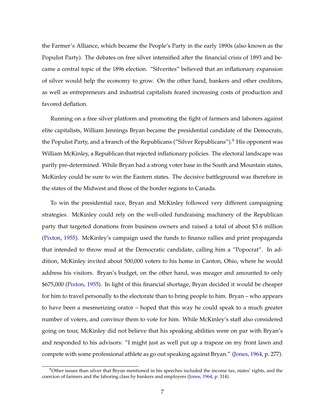the Farmer's Alliance, which became the People's Party in the early 1890s (also known as the Populist Party). The debates on free silver intensified after the financial crisis of 1893 and became a central topic of the 1896 election. "Silverites" believed that an inflationary expansion of silver would help the economy to grow. On the other hand, bankers and other creditors, as well as entrepreneurs and industrial capitalists feared increasing costs of production and favored deflation.

Running on a free silver platform and promoting the fight of farmers and laborers against elite capitalists, William Jennings Bryan became the presidential candidate of the Democrats, the Populist Party, and a branch of the Republicans ("Silver Republicans").<sup>[9](#page-0-0)</sup> His opponent was William McKinley, a Republican that rejected inflationary policies. The electoral landscape was partly pre-determined. While Bryan had a strong voter base in the South and Mountain states, McKinley could be sure to win the Eastern states. The decisive battleground was therefore in the states of the Midwest and those of the border regions to Canada.

To win the presidential race, Bryan and McKinley followed very different campaigning strategies. McKinley could rely on the well-oiled fundraising machinery of the Republican party that targeted donations from business owners and raised a total of about \$3.6 million [\(Pixton,](#page-33-9) [1955\)](#page-33-9). McKinley's campaign used the funds to finance rallies and print propaganda that intended to throw mud at the Democratic candidate, calling him a "Popocrat". In addition, McKinley invited about 500,000 voters to his home in Canton, Ohio, where he would address his visitors. Bryan's budget, on the other hand, was meager and amounted to only \$675,000 [\(Pixton,](#page-33-9) [1955\)](#page-33-9). In light of this financial shortage, Bryan decided it would be cheaper for him to travel personally to the electorate than to bring people to him. Bryan – who appears to have been a mesmerizing orator – hoped that this way he could speak to a much greater number of voters, and convince them to vote for him. While McKinley's staff also considered going on tour, McKinley did not believe that his speaking abilities were on par with Bryan's and responded to his advisors: "I might just as well put up a trapeze on my front lawn and compete with some professional athlete as go out speaking against Bryan." [\(Jones,](#page-33-8) [1964,](#page-33-8) p. 277).

 $9$ Other issues than silver that Bryan mentioned in his speeches included the income tax, states' rights, and the coercion of farmers and the laboring class by bankers and employers [\(Jones,](#page-33-8) [1964,](#page-33-8) p. 314).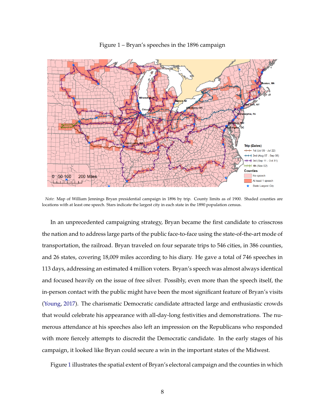<span id="page-7-0"></span>

Figure 1 – Bryan's speeches in the 1896 campaign

*Note*: Map of William Jennings Bryan presidential campaign in 1896 by trip. County limits as of 1900. Shaded counties are locations with at least one speech. Stars indicate the largest city in each state in the 1890 population census.

In an unprecedented campaigning strategy, Bryan became the first candidate to crisscross the nation and to address large parts of the public face-to-face using the state-of-the-art mode of transportation, the railroad. Bryan traveled on four separate trips to 546 cities, in 386 counties, and 26 states, covering 18,009 miles according to his diary. He gave a total of 746 speeches in 113 days, addressing an estimated 4 million voters. Bryan's speech was almost always identical and focused heavily on the issue of free silver. Possibly, even more than the speech itself, the in-person contact with the public might have been the most significant feature of Bryan's visits [\(Young,](#page-34-6) [2017\)](#page-34-6). The charismatic Democratic candidate attracted large and enthusiastic crowds that would celebrate his appearance with all-day-long festivities and demonstrations. The numerous attendance at his speeches also left an impression on the Republicans who responded with more fiercely attempts to discredit the Democratic candidate. In the early stages of his campaign, it looked like Bryan could secure a win in the important states of the Midwest.

Figure [1](#page-7-0) illustrates the spatial extent of Bryan's electoral campaign and the counties in which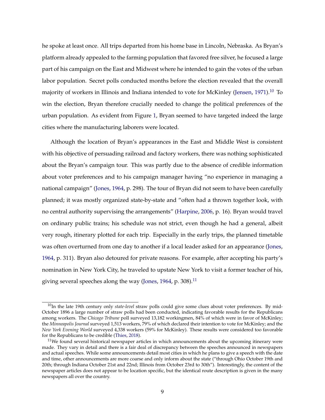he spoke at least once. All trips departed from his home base in Lincoln, Nebraska. As Bryan's platform already appealed to the farming population that favored free silver, he focused a large part of his campaign on the East and Midwest where he intended to gain the votes of the urban labor population. Secret polls conducted months before the election revealed that the overall majority of workers in Illinois and Indiana intended to vote for McKinley [\(Jensen,](#page-32-8) [1971\)](#page-32-8).<sup>[10](#page-0-0)</sup> To win the election, Bryan therefore crucially needed to change the political preferences of the urban population. As evident from Figure [1,](#page-7-0) Bryan seemed to have targeted indeed the large cities where the manufacturing laborers were located.

Although the location of Bryan's appearances in the East and Middle West is consistent with his objective of persuading railroad and factory workers, there was nothing sophisticated about the Bryan's campaign tour. This was partly due to the absence of credible information about voter preferences and to his campaign manager having "no experience in managing a national campaign" [\(Jones,](#page-33-8) [1964,](#page-33-8) p. 298). The tour of Bryan did not seem to have been carefully planned; it was mostly organized state-by-state and "often had a thrown together look, with no central authority supervising the arrangements" [\(Harpine,](#page-32-9) [2006,](#page-32-9) p. 16). Bryan would travel on ordinary public trains; his schedule was not strict, even though he had a general, albeit very rough, itinerary plotted for each trip. Especially in the early trips, the planned timetable was often overturned from one day to another if a local leader asked for an appearance [\(Jones,](#page-33-8) [1964,](#page-33-8) p. 311). Bryan also detoured for private reasons. For example, after accepting his party's nomination in New York City, he traveled to upstate New York to visit a former teacher of his, giving several speeches along the way [\(Jones,](#page-33-8) [1964,](#page-33-8) p. 308).<sup>[11](#page-0-0)</sup>

<sup>&</sup>lt;sup>10</sup>In the late 19th century only *state-level* straw polls could give some clues about voter preferences. By mid-October 1896 a large number of straw polls had been conducted, indicating favorable results for the Republicans among workers. The *Chicago Tribune* poll surveyed 13,182 workingmen, 84% of which were in favor of McKinley; the *Minneapolis Journal* surveyed 1,513 workers, 79% of which declared their intention to vote for McKinley; and the *New York Evening World* surveyed 4,338 workers (59% for McKinley). These results were considered too favorable for the Republicans to be credible [\(Thies,](#page-34-7) [2018\)](#page-34-7).

 $11$ We found several historical newspaper articles in which announcements about the upcoming itinerary were made. They vary in detail and there is a fair deal of discrepancy between the speeches announced in newspapers and actual speeches. While some announcements detail most cities in which he plans to give a speech with the date and time, other announcements are more coarse and only inform about the state ("through Ohio October 19th and 20th; through Indiana October 21st and 22nd; Illinois from October 23rd to 30th"). Interestingly, the content of the newspaper articles does not appear to be location specific, but the identical route description is given in the many newspapers all over the country.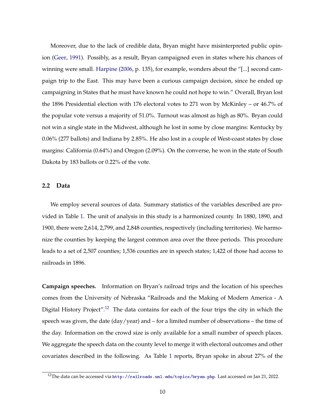Moreover, due to the lack of credible data, Bryan might have misinterpreted public opinion [\(Geer,](#page-31-5) [1991\)](#page-31-5). Possibly, as a result, Bryan campaigned even in states where his chances of winning were small. [Harpine](#page-32-9) [\(2006,](#page-32-9) p. 135), for example, wonders about the "[...] second campaign trip to the East. This may have been a curious campaign decision, since he ended up campaigning in States that he must have known he could not hope to win." Overall, Bryan lost the 1896 Presidential election with 176 electoral votes to 271 won by McKinley – or 46.7% of the popular vote versus a majority of 51.0%. Turnout was almost as high as 80%. Bryan could not win a single state in the Midwest, although he lost in some by close margins: Kentucky by 0.06% (277 ballots) and Indiana by 2.85%. He also lost in a couple of West-coast states by close margins: California (0.64%) and Oregon (2.09%). On the converse, he won in the state of South Dakota by 183 ballots or 0.22% of the vote.

#### **2.2 Data**

We employ several sources of data. Summary statistics of the variables described are provided in Table [1.](#page-11-0) The unit of analysis in this study is a harmonized county. In 1880, 1890, and 1900, there were 2,614, 2,799, and 2,848 counties, respectively (including territories). We harmonize the counties by keeping the largest common area over the three periods. This procedure leads to a set of 2,507 counties; 1,536 counties are in speech states; 1,422 of those had access to railroads in 1896.

**Campaign speeches.** Information on Bryan's railroad trips and the location of his speeches comes from the University of Nebraska "Railroads and the Making of Modern America - A Digital History Project".<sup>[12](#page-0-0)</sup> The data contains for each of the four trips the city in which the speech was given, the date  $\frac{day}{year}$  and – for a limited number of observations – the time of the day. Information on the crowd size is only available for a small number of speech places. We aggregate the speech data on the county level to merge it with electoral outcomes and other covariates described in the following. As Table [1](#page-11-0) reports, Bryan spoke in about 27% of the

<sup>&</sup>lt;sup>12</sup>The data can be accessed via <http://railroads.unl.edu/topics/bryan.php>. Last accessed on Jan 21, 2022.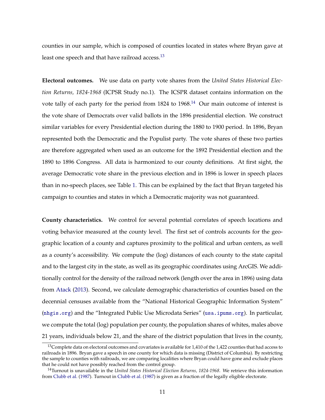counties in our sample, which is composed of counties located in states where Bryan gave at least one speech and that have railroad access.<sup>[13](#page-0-0)</sup>

**Electoral outcomes.** We use data on party vote shares from the *United States Historical Election Returns, 1824-1968* (ICPSR Study no.1). The ICSPR dataset contains information on the vote tally of each party for the period from  $1824$  to  $1968$ .<sup>[14](#page-0-0)</sup> Our main outcome of interest is the vote share of Democrats over valid ballots in the 1896 presidential election. We construct similar variables for every Presidential election during the 1880 to 1900 period. In 1896, Bryan represented both the Democratic and the Populist party. The vote shares of these two parties are therefore aggregated when used as an outcome for the 1892 Presidential election and the 1890 to 1896 Congress. All data is harmonized to our county definitions. At first sight, the average Democratic vote share in the previous election and in 1896 is lower in speech places than in no-speech places, see Table [1.](#page-11-0) This can be explained by the fact that Bryan targeted his campaign to counties and states in which a Democratic majority was not guaranteed.

**County characteristics.** We control for several potential correlates of speech locations and voting behavior measured at the county level. The first set of controls accounts for the geographic location of a county and captures proximity to the political and urban centers, as well as a county's accessibility. We compute the (log) distances of each county to the state capital and to the largest city in the state, as well as its geographic coordinates using ArcGIS. We additionally control for the density of the railroad network (length over the area in 1896) using data from [Atack](#page-30-9) [\(2013\)](#page-30-9). Second, we calculate demographic characteristics of counties based on the decennial censuses available from the "National Historical Geographic Information System" (<nhgis.org>) and the "Integrated Public Use Microdata Series" (<usa.ipums.org>). In particular, we compute the total (log) population per county, the population shares of whites, males above 21 years, individuals below 21, and the share of the district population that lives in the county,

<sup>&</sup>lt;sup>13</sup>Complete data on electoral outcomes and covariates is available for 1,410 of the 1,422 counties that had access to railroads in 1896. Bryan gave a speech in one county for which data is missing (District of Columbia). By restricting the sample to counties with railroads, we are comparing localities where Bryan could have gone and exclude places that he could not have possibly reached from the control group.

<sup>14</sup>Turnout is unavailable in the *United States Historical Election Returns, 1824-1968*. We retrieve this information from [Clubb et al.](#page-31-6) [\(1987\)](#page-31-6). Turnout in [Clubb et al.](#page-31-6) [\(1987\)](#page-31-6) is given as a fraction of the legally eligible electorate.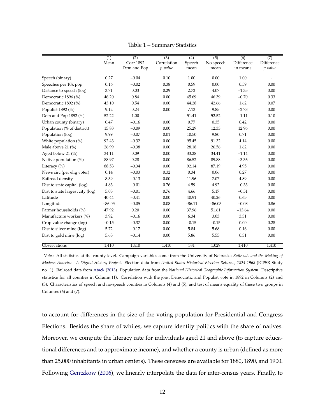<span id="page-11-0"></span>

|                                  | (1)      | (2)                             | (3)                    | (4)            | $\overline{(5)}$  | (6)                    | (7)                   |
|----------------------------------|----------|---------------------------------|------------------------|----------------|-------------------|------------------------|-----------------------|
|                                  | Mean     | <b>Corr 1892</b><br>Dem and Pop | Correlation<br>p-value | Speech<br>mean | No speech<br>mean | Difference<br>in means | Difference<br>p-value |
|                                  |          |                                 |                        |                |                   |                        |                       |
| Speech (binary)                  | 0.27     | $-0.04$                         | 0.10                   | 1.00           | 0.00              | 1.00                   |                       |
| Speeches per 10k pop             | 0.16     | $-0.02$                         | 0.38                   | 0.59           | 0.00              | 0.59                   | 0.00                  |
| Distance to speech (log)         | 3.71     | 0.03                            | 0.29                   | 2.72           | 4.07              | $-1.35$                | 0.00                  |
| Democratic 1896 (%)              | 46.20    | 0.84                            | 0.00                   | 45.69          | 46.39             | $-0.70$                | 0.33                  |
| Democratic 1892 (%)              | 43.10    | 0.54                            | 0.00                   | 44.28          | 42.66             | 1.62                   | 0.07                  |
| Populist 1892 (%)                | 9.12     | 0.24                            | 0.00                   | 7.13           | 9.85              | $-2.73$                | 0.00                  |
| Dem and Pop 1892 (%)             | 52.22    | 1.00                            | $\cdot$                | 51.41          | 52.52             | $-1.11$                | 0.10                  |
| Urban county (binary)            | 0.47     | $-0.16$                         | 0.00                   | 0.77           | 0.35              | 0.42                   | 0.00                  |
| Population (% of district)       | 15.83    | $-0.09$                         | 0.00                   | 25.29          | 12.33             | 12.96                  | 0.00                  |
| Population (log)                 | 9.99     | $-0.07$                         | 0.01                   | 10.50          | 9.80              | 0.71                   | 0.00                  |
| White population (%)             | 92.43    | $-0.32$                         | 0.00                   | 95.45          | 91.32             | 4.14                   | 0.00                  |
| Male above 21 (%)                | 26.99    | $-0.38$                         | 0.00                   | 28.18          | 26.56             | 1.62                   | 0.00                  |
| Aged below 21 (%)                | 34.11    | 0.09                            | 0.00                   | 33.28          | 34.41             | $-1.14$                | 0.00                  |
| Native population (%)            | 88.97    | 0.28                            | 0.00                   | 86.52          | 89.88             | $-3.36$                | 0.00                  |
| Literacy $(\% )$                 | 88.53    | $-0.34$                         | 0.00                   | 92.14          | 87.19             | 4.95                   | 0.00                  |
| News circ (per elig voter)       | 0.14     | $-0.03$                         | 0.32                   | 0.34           | 0.06              | 0.27                   | 0.00                  |
| Railroad density                 | 8.39     | $-0.13$                         | 0.00                   | 11.96          | 7.07              | 4.89                   | 0.00                  |
| Dist to state capital (log)      | 4.83     | $-0.01$                         | 0.76                   | 4.59           | 4.92              | $-0.33$                | 0.00                  |
| Dist to state largest city (log) | 5.03     | $-0.01$                         | 0.76                   | 4.66           | 5.17              | $-0.51$                | 0.00                  |
| Latitude                         | 40.44    | $-0.41$                         | 0.00                   | 40.91          | 40.26             | 0.65                   | 0.00                  |
| Longitude                        | $-86.05$ | $-0.05$                         | 0.08                   | $-86.11$       | $-86.03$          | $-0.08$                | 0.86                  |
| Farmer households (%)            | 47.92    | 0.20                            | 0.00                   | 37.96          | 51.61             | $-13.64$               | 0.00                  |
| Manufacture workers (%)          | 3.92     | $-0.16$                         | 0.00                   | 6.34           | 3.03              | 3.31                   | 0.00                  |
| Crop value change (log)          | $-0.15$  | $-0.37$                         | 0.00                   | $-0.15$        | $-0.15$           | 0.00                   | 0.28                  |
| Dist to silver mine (log)        | 5.72     | $-0.17$                         | 0.00                   | 5.84           | 5.68              | 0.16                   | 0.00                  |
| Dist to gold mine (log)          | 5.63     | $-0.14$                         | 0.00                   | 5.86           | 5.55              | 0.31                   | 0.00                  |
| Observations                     | 1,410    | 1,410                           | 1,410                  | 381            | 1,029             | 1,410                  | 1,410                 |

Table 1 – Summary Statistics

*Notes*: All statistics at the county level. Campaign variables come from the University of Nebraska *Railroads and the Making of Modern America - A Digital History Project*. Election data from *United States Historical Election Returns, 1824-1968* (ICPSR Study no. 1). Railroad data from [Atack](#page-30-9) [\(2013\)](#page-30-9). Population data from the *National Historical Geographic Information System*. Descriptive statistics for all counties in Column (1). Correlation with the joint Democratic and Populist vote in 1892 in Columns (2) and (3). Characteristics of speech and no-speech counties in Columns (4) and (5), and test of means equality of these two groups in Columns (6) and (7).

to account for differences in the size of the voting population for Presidential and Congress Elections. Besides the share of whites, we capture identity politics with the share of natives. Moreover, we compute the literacy rate for individuals aged 21 and above (to capture educational differences and to approximate income), and whether a county is urban (defined as more than 25,000 inhabitants in urban centers). These censuses are available for 1880, 1890, and 1900. Following [Gentzkow](#page-31-2) [\(2006\)](#page-31-2), we linearly interpolate the data for inter-census years. Finally, to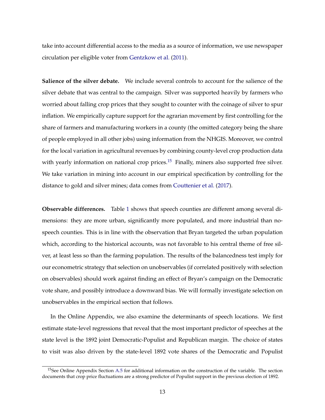take into account differential access to the media as a source of information, we use newspaper circulation per eligible voter from [Gentzkow et al.](#page-32-10) [\(2011\)](#page-32-10).

**Salience of the silver debate.** We include several controls to account for the salience of the silver debate that was central to the campaign. Silver was supported heavily by farmers who worried about falling crop prices that they sought to counter with the coinage of silver to spur inflation. We empirically capture support for the agrarian movement by first controlling for the share of farmers and manufacturing workers in a county (the omitted category being the share of people employed in all other jobs) using information from the NHGIS. Moreover, we control for the local variation in agricultural revenues by combining county-level crop production data with yearly information on national crop prices.<sup>[15](#page-0-0)</sup> Finally, miners also supported free silver. We take variation in mining into account in our empirical specification by controlling for the distance to gold and silver mines; data comes from [Couttenier et al.](#page-31-7) [\(2017\)](#page-31-7).

**Observable differences.** Table [1](#page-11-0) shows that speech counties are different among several dimensions: they are more urban, significantly more populated, and more industrial than nospeech counties. This is in line with the observation that Bryan targeted the urban population which, according to the historical accounts, was not favorable to his central theme of free silver, at least less so than the farming population. The results of the balancedness test imply for our econometric strategy that selection on unobservables (if correlated positively with selection on observables) should work against finding an effect of Bryan's campaign on the Democratic vote share, and possibly introduce a downward bias. We will formally investigate selection on unobservables in the empirical section that follows.

In the Online Appendix, we also examine the determinants of speech locations. We first estimate state-level regressions that reveal that the most important predictor of speeches at the state level is the 1892 joint Democratic-Populist and Republican margin. The choice of states to visit was also driven by the state-level 1892 vote shares of the Democratic and Populist

<sup>&</sup>lt;sup>15</sup>See Online Appendix Section [A.5](#page-0-0) for additional information on the construction of the variable. The section documents that crop price fluctuations are a strong predictor of Populist support in the previous election of 1892.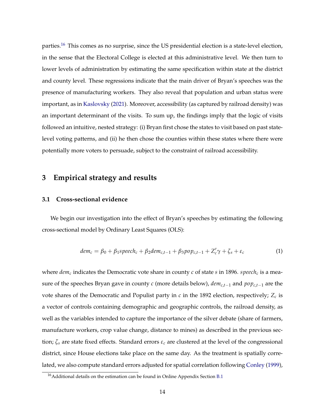parties.<sup>[16](#page-0-0)</sup> This comes as no surprise, since the US presidential election is a state-level election, in the sense that the Electoral College is elected at this administrative level. We then turn to lower levels of administration by estimating the same specification within state at the district and county level. These regressions indicate that the main driver of Bryan's speeches was the presence of manufacturing workers. They also reveal that population and urban status were important, as in [Kaslovsky](#page-33-10) [\(2021\)](#page-33-10). Moreover, accessibility (as captured by railroad density) was an important determinant of the visits. To sum up, the findings imply that the logic of visits followed an intuitive, nested strategy: (i) Bryan first chose the states to visit based on past statelevel voting patterns, and (ii) he then chose the counties within these states where there were potentially more voters to persuade, subject to the constraint of railroad accessibility.

## **3 Empirical strategy and results**

#### **3.1 Cross-sectional evidence**

We begin our investigation into the effect of Bryan's speeches by estimating the following cross-sectional model by Ordinary Least Squares (OLS):

<span id="page-13-0"></span>
$$
dem_c = \beta_0 + \beta_1 speech_c + \beta_2 dem_{c,t-1} + \beta_3 pop_{c,t-1} + Z_c' \gamma + \zeta_s + \varepsilon_c
$$
 (1)

where  $dem_c$  indicates the Democratic vote share in county  $c$  of state  $s$  in 1896. *speech<sub>c</sub>* is a measure of the speeches Bryan gave in county *c* (more details below), *demc*,*t*−<sup>1</sup> and *popc*,*t*−<sup>1</sup> are the vote shares of the Democratic and Populist party in  $c$  in the 1892 election, respectively;  $Z_c$  is a vector of controls containing demographic and geographic controls, the railroad density, as well as the variables intended to capture the importance of the silver debate (share of farmers, manufacture workers, crop value change, distance to mines) as described in the previous section; *ζ<sup>s</sup>* are state fixed effects. Standard errors *ε<sup>c</sup>* are clustered at the level of the congressional district, since House elections take place on the same day. As the treatment is spatially correlated, we also compute standard errors adjusted for spatial correlation following [Conley](#page-31-8) [\(1999\)](#page-31-8),

<sup>&</sup>lt;sup>16</sup> Additional details on the estimation can be found in Online Appendix Section [B.1](#page-0-0)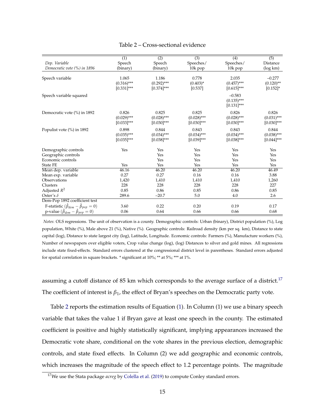<span id="page-14-0"></span>

|                                                           | $\overline{(1)}$ | $\overline{(2)}$ | $\overline{(3)}$ | $\overline{(4)}$ | $\overline{(5)}$ |
|-----------------------------------------------------------|------------------|------------------|------------------|------------------|------------------|
| Dep. Variable                                             | Speech           | Speech           | Speeches/        | Speeches/        | Distance         |
| Democratic vote (%) in 1896                               | (binary)         | (binary)         | 10k pop          | 10k pop          | (log km)         |
|                                                           |                  |                  |                  |                  |                  |
| Speech variable                                           | 1.065            | 1.186            | 0.778            | 2.035            | $-0.277$         |
|                                                           | $(0.316)$ ***    | $(0.292)$ ***    | $(0.403)^{*}$    | $(0.457)$ ***    | $(0.120)$ **     |
|                                                           | $[0.331]$ ***    | $[0.374]$ ***    | [0.537]          | $[0.615]$ ***    | $[0.152]$ *      |
| Speech variable squared                                   |                  |                  |                  | $-0.583$         |                  |
|                                                           |                  |                  |                  | $(0.135)$ ***    |                  |
|                                                           |                  |                  |                  | $[0.131]$ ***    |                  |
| Democratic vote (%) in 1892                               | 0.826            | 0.825            | 0.825            | 0.826            | 0.826            |
|                                                           | $(0.029)$ ***    | $(0.028)$ ***    | $(0.028)$ ***    | $(0.028)$ ***    | $(0.031)$ ***    |
|                                                           | $[0.033]$ ***    | $[0.030]$ ***    | $[0.030]^{***}$  | $[0.030]$ ***    | $[0.030]$ ***    |
|                                                           |                  |                  |                  |                  |                  |
| Populist vote (%) in 1892                                 | 0.898            | 0.844            | 0.843            | 0.843            | 0.844            |
|                                                           | $(0.035)$ ***    | $(0.034)$ ***    | $(0.034)$ ***    | $(0.034)$ ***    | $(0.038)$ ***    |
|                                                           | $[0.035]$ ***    | $[0.038]$ ***    | $[0.039]$ ***    | $[0.038]$ ***    | $[0.044]$ ***    |
| Demographic controls                                      | Yes              | Yes              | Yes              | Yes              | Yes              |
| Geographic controls                                       |                  | Yes              | Yes              | Yes              | Yes              |
| Economic controls                                         |                  | Yes              | Yes              | Yes              | Yes              |
| State FE                                                  | Yes              | Yes              | Yes              | Yes              | Yes              |
| Mean dep. variable                                        | 46.16            | 46.20            | 46.20            | 46.20            | 46.49            |
| Mean exp. variable                                        | 0.27             | 0.27             | 0.16             | 0.16             | 3.88             |
| Observations                                              | 1,420            | 1,410            | 1,410            | 1,410            | 1,260            |
| Clusters                                                  | 228              | 228              | 228              | 228              | 227              |
| Adjusted $R^2$                                            | 0.85             | 0.86             | 0.85             | 0.86             | 0.85             |
| Oster's $\delta$                                          | 289.6            | $-20.7$          | 5.0              | 4.0              | 2.6              |
| Dem-Pop 1892 coefficient test                             |                  |                  |                  |                  |                  |
| F-statistic $(\hat{\beta}_{dem} - \hat{\beta}_{pop} = 0)$ | 3.60             | 0.22             | 0.20             | 0.19             | 0.17             |
| p-value $(\hat{\beta}_{dem} - \hat{\beta}_{pop} = 0)$     | 0.06             | 0.64             | 0.66             | 0.66             | 0.68             |

#### Table 2 – Cross-sectional evidence

*Notes*: OLS regressions. The unit of observation is a county. Demographic controls: Urban (binary), District population (%), Log population, White (%), Male above 21 (%), Native (%). Geographic controls: Railroad density (km per sq. km), Distance to state capital (log), Distance to state largest city (log), Latitude, Longitude. Economic controls: Farmers (%), Manufacture workers (%), Number of newspapers over eligible voters, Crop value change (log), (log) Distances to silver and gold mines. All regressions include state fixed-effects. Standard errors clustered at the congressional district level in parentheses. Standard errors adjusted for spatial correlation in square brackets. \* significant at 10%; \*\* at 5%; \*\*\* at 1%.

assuming a cutoff distance of 85 km which corresponds to the average surface of a district.<sup>[17](#page-0-0)</sup> The coefficient of interest is *β*1, the effect of Bryan's speeches on the Democratic party vote.

Table [2](#page-14-0) reports the estimation results of Equation [\(1\)](#page-13-0). In Column (1) we use a binary speech variable that takes the value 1 if Bryan gave at least one speech in the county. The estimated coefficient is positive and highly statistically significant, implying appearances increased the Democratic vote share, conditional on the vote shares in the previous election, demographic controls, and state fixed effects. In Column (2) we add geographic and economic controls, which increases the magnitude of the speech effect to 1.2 percentage points. The magnitude

<sup>&</sup>lt;sup>17</sup>We use the Stata package *acreg* by [Colella et al.](#page-31-9) [\(2019\)](#page-31-9) to compute Conley standard errors.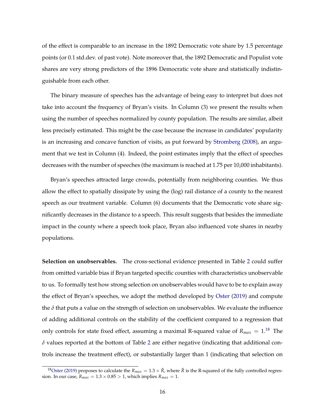of the effect is comparable to an increase in the 1892 Democratic vote share by 1.5 percentage points (or 0.1 std.dev. of past vote). Note moreover that, the 1892 Democratic and Populist vote shares are very strong predictors of the 1896 Democratic vote share and statistically indistinguishable from each other.

The binary measure of speeches has the advantage of being easy to interpret but does not take into account the frequency of Bryan's visits. In Column (3) we present the results when using the number of speeches normalized by county population. The results are similar, albeit less precisely estimated. This might be the case because the increase in candidates' popularity is an increasing and concave function of visits, as put forward by [Stromberg](#page-34-8) [\(2008\)](#page-34-8), an argument that we test in Column (4). Indeed, the point estimates imply that the effect of speeches decreases with the number of speeches (the maximum is reached at 1.75 per 10,000 inhabitants).

Bryan's speeches attracted large crowds, potentially from neighboring counties. We thus allow the effect to spatially dissipate by using the (log) rail distance of a county to the nearest speech as our treatment variable. Column (6) documents that the Democratic vote share significantly decreases in the distance to a speech. This result suggests that besides the immediate impact in the county where a speech took place, Bryan also influenced vote shares in nearby populations.

**Selection on unobservables.** The cross-sectional evidence presented in Table [2](#page-14-0) could suffer from omitted variable bias if Bryan targeted specific counties with characteristics unobservable to us. To formally test how strong selection on unobservables would have to be to explain away the effect of Bryan's speeches, we adopt the method developed by [Oster](#page-33-11) [\(2019\)](#page-33-11) and compute the  $\delta$  that puts a value on the strength of selection on unobservables. We evaluate the influence of adding additional controls on the stability of the coefficient compared to a regression that only controls for state fixed effect, assuming a maximal R-squared value of  $R_{max} = 1.18$  $R_{max} = 1.18$  The  $\delta$  values reported at the bottom of Table [2](#page-14-0) are either negative (indicating that additional controls increase the treatment effect), or substantially larger than 1 (indicating that selection on

<sup>&</sup>lt;sup>18</sup>[Oster](#page-33-11) [\(2019\)](#page-33-11) proposes to calculate the  $R_{max}=1.3\times\tilde{R}$ , where  $\tilde{R}$  is the R-squared of the fully controlled regression. In our case,  $R_{max} = 1.3 \times 0.85 > 1$ , which implies  $R_{max} = 1$ .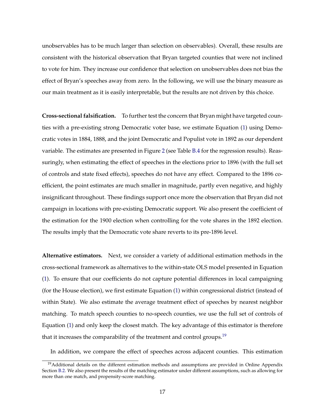unobservables has to be much larger than selection on observables). Overall, these results are consistent with the historical observation that Bryan targeted counties that were not inclined to vote for him. They increase our confidence that selection on unobservables does not bias the effect of Bryan's speeches away from zero. In the following, we will use the binary measure as our main treatment as it is easily interpretable, but the results are not driven by this choice.

**Cross-sectional falsification.** To further test the concern that Bryan might have targeted counties with a pre-existing strong Democratic voter base, we estimate Equation [\(1\)](#page-13-0) using Democratic votes in 1884, 1888, and the joint Democratic and Populist vote in 1892 as our dependent variable. The estimates are presented in Figure [2](#page-17-0) (see Table [B.4](#page-0-0) for the regression results). Reassuringly, when estimating the effect of speeches in the elections prior to 1896 (with the full set of controls and state fixed effects), speeches do not have any effect. Compared to the 1896 coefficient, the point estimates are much smaller in magnitude, partly even negative, and highly insignificant throughout. These findings support once more the observation that Bryan did not campaign in locations with pre-existing Democratic support. We also present the coefficient of the estimation for the 1900 election when controlling for the vote shares in the 1892 election. The results imply that the Democratic vote share reverts to its pre-1896 level.

**Alternative estimators.** Next, we consider a variety of additional estimation methods in the cross-sectional framework as alternatives to the within-state OLS model presented in Equation [\(1\)](#page-13-0). To ensure that our coefficients do not capture potential differences in local campaigning (for the House election), we first estimate Equation [\(1\)](#page-13-0) within congressional district (instead of within State). We also estimate the average treatment effect of speeches by nearest neighbor matching. To match speech counties to no-speech counties, we use the full set of controls of Equation [\(1\)](#page-13-0) and only keep the closest match. The key advantage of this estimator is therefore that it increases the comparability of the treatment and control groups.<sup>[19](#page-0-0)</sup>

In addition, we compare the effect of speeches across adjacent counties. This estimation

<sup>&</sup>lt;sup>19</sup>Additional details on the different estimation methods and assumptions are provided in Online Appendix Section [B.2.](#page-0-0) We also present the results of the matching estimator under different assumptions, such as allowing for more than one match, and propensity-score matching.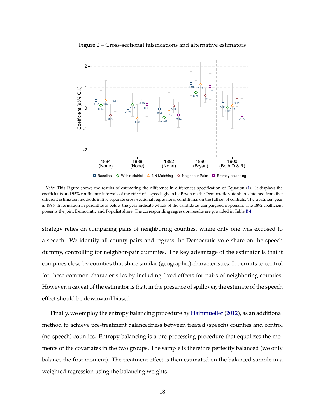<span id="page-17-0"></span>

Figure 2 – Cross-sectional falsifications and alternative estimators

*Note*: This Figure shows the results of estimating the difference-in-differences specification of Equation [\(1\)](#page-13-0). It displays the coefficients and 95% confidence intervals of the effect of a speech given by Bryan on the Democratic vote share obtained from five different estimation methods in five separate cross-sectional regressions, conditional on the full set of controls. The treatment year is 1896. Information in parentheses below the year indicate which of the candidates campaigned in-person. The 1892 coefficient presents the joint Democratic and Populist share. The corresponding regression results are provided in Table [B.4.](#page-0-0)

strategy relies on comparing pairs of neighboring counties, where only one was exposed to a speech. We identify all county-pairs and regress the Democratic vote share on the speech dummy, controlling for neighbor-pair dummies. The key advantage of the estimator is that it compares close-by counties that share similar (geographic) characteristics. It permits to control for these common characteristics by including fixed effects for pairs of neighboring counties. However, a caveat of the estimator is that, in the presence of spillover, the estimate of the speech effect should be downward biased.

Finally, we employ the entropy balancing procedure by Hainmueller (2012), as an additional method to achieve pre-treatment balancedness between treated (speech) counties and control (no-speech) counties. Entropy balancing is a pre-processing procedure that equalizes the moments of the covariates in the two groups. The sample is therefore perfectly balanced (we only balance the first moment). The treatment effect is then estimated on the balanced sample in a weighted regression using the balancing weights.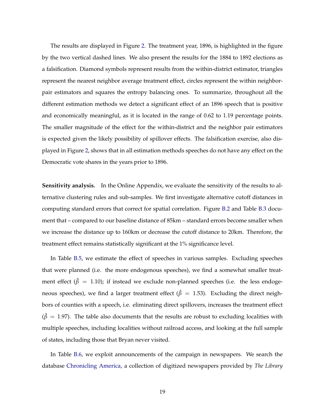The results are displayed in Figure [2.](#page-17-0) The treatment year, 1896, is highlighted in the figure by the two vertical dashed lines. We also present the results for the 1884 to 1892 elections as a falsification. Diamond symbols represent results from the within-district estimator, triangles represent the nearest neighbor average treatment effect, circles represent the within neighborpair estimators and squares the entropy balancing ones. To summarize, throughout all the different estimation methods we detect a significant effect of an 1896 speech that is positive and economically meaningful, as it is located in the range of 0.62 to 1.19 percentage points. The smaller magnitude of the effect for the within-district and the neighbor pair estimators is expected given the likely possibility of spillover effects. The falsification exercise, also displayed in Figure [2,](#page-17-0) shows that in all estimation methods speeches do not have any effect on the Democratic vote shares in the years prior to 1896.

**Sensitivity analysis.** In the Online Appendix, we evaluate the sensitivity of the results to alternative clustering rules and sub-samples. We first investigate alternative cutoff distances in computing standard errors that correct for spatial correlation. Figure [B.2](#page-0-0) and Table [B.3](#page-0-0) document that – compared to our baseline distance of 85km – standard errors become smaller when we increase the distance up to 160km or decrease the cutoff distance to 20km. Therefore, the treatment effect remains statistically significant at the 1% significance level.

In Table [B.5,](#page-0-0) we estimate the effect of speeches in various samples. Excluding speeches that were planned (i.e. the more endogenous speeches), we find a somewhat smaller treatment effect ( $\hat{\beta} = 1.10$ ); if instead we exclude non-planned speeches (i.e. the less endogeneous speeches), we find a larger treatment effect ( $\hat{\beta} = 1.53$ ). Excluding the direct neighbors of counties with a speech, i.e. eliminating direct spillovers, increases the treatment effect  $(\hat{\beta} = 1.97)$ . The table also documents that the results are robust to excluding localities with multiple speeches, including localities without railroad access, and looking at the full sample of states, including those that Bryan never visited.

In Table [B.6,](#page-0-0) we exploit announcements of the campaign in newspapers. We search the database [Chronicling America,](https://chroniclingamerica.loc.gov/) a collection of digitized newspapers provided by *The Library*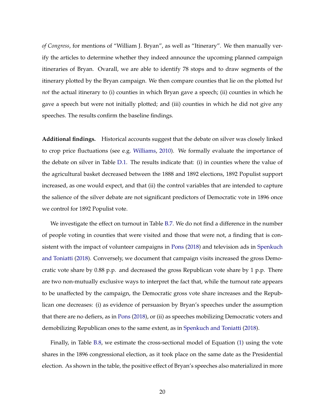*of Congress*, for mentions of "William J. Bryan", as well as "Itinerary". We then manually verify the articles to determine whether they indeed announce the upcoming planned campaign itineraries of Bryan. Ovarall, we are able to identify 78 stops and to draw segments of the itinerary plotted by the Bryan campaign. We then compare counties that lie on the plotted *but not* the actual itinerary to (i) counties in which Bryan gave a speech; (ii) counties in which he gave a speech but were not initially plotted; and (iii) counties in which he did not give any speeches. The results confirm the baseline findings.

**Additional findings.** Historical accounts suggest that the debate on silver was closely linked to crop price fluctuations (see e.g. [Williams,](#page-34-9) [2010\)](#page-34-9). We formally evaluate the importance of the debate on silver in Table [D.1.](#page-0-0) The results indicate that: (i) in counties where the value of the agricultural basket decreased between the 1888 and 1892 elections, 1892 Populist support increased, as one would expect, and that (ii) the control variables that are intended to capture the salience of the silver debate are not significant predictors of Democratic vote in 1896 once we control for 1892 Populist vote.

We investigate the effect on turnout in Table [B.7.](#page-0-0) We do not find a difference in the number of people voting in counties that were visited and those that were not, a finding that is consistent with the impact of volunteer campaigns in [Pons](#page-33-6) [\(2018\)](#page-33-6) and television ads in [Spenkuch](#page-34-3) [and Toniatti](#page-34-3) [\(2018\)](#page-34-3). Conversely, we document that campaign visits increased the gross Democratic vote share by 0.88 p.p. and decreased the gross Republican vote share by 1 p.p. There are two non-mutually exclusive ways to interpret the fact that, while the turnout rate appears to be unaffected by the campaign, the Democratic gross vote share increases and the Republican one decreases: (i) as evidence of persuasion by Bryan's speeches under the assumption that there are no defiers, as in [Pons](#page-33-6) [\(2018\)](#page-33-6), or (ii) as speeches mobilizing Democratic voters and demobilizing Republican ones to the same extent, as in [Spenkuch and Toniatti](#page-34-3) [\(2018\)](#page-34-3).

Finally, in Table [B.8,](#page-0-0) we estimate the cross-sectional model of Equation [\(1\)](#page-13-0) using the vote shares in the 1896 congressional election, as it took place on the same date as the Presidential election. As shown in the table, the positive effect of Bryan's speeches also materialized in more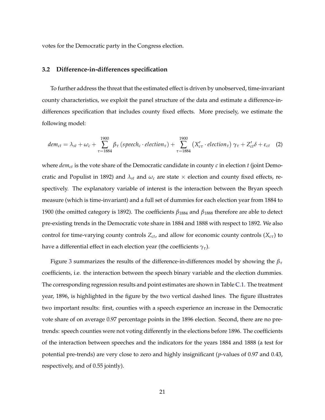votes for the Democratic party in the Congress election.

#### **3.2 Difference-in-differences specification**

To further address the threat that the estimated effect is driven by unobserved, time-invariant county characteristics, we exploit the panel structure of the data and estimate a difference-indifferences specification that includes county fixed effects. More precisely, we estimate the following model:

<span id="page-20-0"></span>
$$
dem_{ct} = \lambda_{st} + \omega_c + \sum_{\tau=1884}^{1900} \beta_{\tau} \left( \text{speed}_c \cdot \text{election}_{\tau} \right) + \sum_{\tau=1884}^{1900} \left( X'_{c\tau} \cdot \text{election}_{\tau} \right) \gamma_{\tau} + Z'_{ct} \delta + \varepsilon_{ct} \quad (2)
$$

where *demct* is the vote share of the Democratic candidate in county *c* in election *t* (joint Democratic and Populist in 1892) and  $\lambda_{st}$  and  $\omega_c$  are state  $\times$  election and county fixed effects, respectively. The explanatory variable of interest is the interaction between the Bryan speech measure (which is time-invariant) and a full set of dummies for each election year from 1884 to 1900 (the omitted category is 1892). The coefficients *β*<sup>1884</sup> and *β*<sup>1888</sup> therefore are able to detect pre-existing trends in the Democratic vote share in 1884 and 1888 with respect to 1892. We also control for time-varying county controls *Zct*, and allow for economic county controls (*Xcτ*) to have a differential effect in each election year (the coefficients *γτ*).

Figure [3](#page-21-0) summarizes the results of the difference-in-differences model by showing the *β<sup>τ</sup>* coefficients, i.e. the interaction between the speech binary variable and the election dummies. The corresponding regression results and point estimates are shown in Table [C.1.](#page-0-0) The treatment year, 1896, is highlighted in the figure by the two vertical dashed lines. The figure illustrates two important results: first, counties with a speech experience an increase in the Democratic vote share of on average 0.97 percentage points in the 1896 election. Second, there are no pretrends: speech counties were not voting differently in the elections before 1896. The coefficients of the interaction between speeches and the indicators for the years 1884 and 1888 (a test for potential pre-trends) are very close to zero and highly insignificant (*p*-values of 0.97 and 0.43, respectively, and of 0.55 jointly).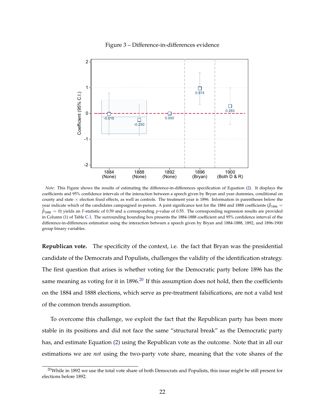<span id="page-21-0"></span>

Figure 3 – Difference-in-differences evidence

*Note*: This Figure shows the results of estimating the difference-in-differences specification of Equation [\(2\)](#page-20-0). It displays the coefficients and 95% confidence intervals of the interaction between a speech given by Bryan and year dummies, conditional on county and state  $\times$  election fixed effects, as well as controls. The treatment year is 1896. Information in parentheses below the year indicate which of the candidates campaigned in-person. A joint significance test for the 1884 and 1888 coefficients ( $\hat\beta_{1884}=$  $\hat{\beta}_{1888} = 0$ ) yields an *F*-statistic of 0.59 and a corresponding *p*-value of 0.55. The corresponding regression results are provided in Column (1) of Table [C.1.](#page-0-0) The surrounding bounding box presents the 1884-1888 coefficient and 95% confidence interval of the difference-in-differences estimation using the interaction between a speech given by Bryan and 1884-1888, 1892, and 1896-1900 group binary variables.

**Republican vote.** The specificity of the context, i.e. the fact that Bryan was the presidential candidate of the Democrats and Populists, challenges the validity of the identification strategy. The first question that arises is whether voting for the Democratic party before 1896 has the same meaning as voting for it in  $1896<sup>20</sup>$  $1896<sup>20</sup>$  $1896<sup>20</sup>$  If this assumption does not hold, then the coefficients on the 1884 and 1888 elections, which serve as pre-treatment falsifications, are not a valid test of the common trends assumption.

To overcome this challenge, we exploit the fact that the Republican party has been more stable in its positions and did not face the same "structural break" as the Democratic party has, and estimate Equation [\(2\)](#page-20-0) using the Republican vote as the outcome. Note that in all our estimations we are *not* using the two-party vote share, meaning that the vote shares of the

 $20$ While in 1892 we use the total vote share of both Democrats and Populists, this issue might be still present for elections before 1892.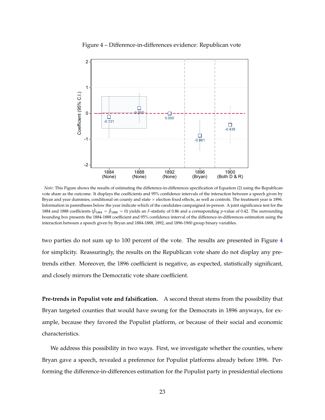<span id="page-22-0"></span>

Figure 4 – Difference-in-differences evidence: Republican vote

*Note*: This Figure shows the results of estimating the difference-in-differences specification of Equation [\(2\)](#page-20-0) using the Republican vote share as the outcome. It displays the coefficients and 95% confidence intervals of the interaction between a speech given by Bryan and year dummies, conditional on county and state  $\times$  election fixed effects, as well as controls. The treatment year is 1896. Information in parentheses below the year indicate which of the candidates campaigned in-person. A joint significance test for the 1884 and 1888 coefficients ( $\hat{\beta}_{1884} = \hat{\beta}_{1888} = 0$ ) yields an *F*-statistic of 0.86 and a corresponding *p*-value of 0.42. The surrounding bounding box presents the 1884-1888 coefficient and 95% confidence interval of the difference-in-differences estimation using the interaction between a speech given by Bryan and 1884-1888, 1892, and 1896-1900 group binary variables.

two parties do not sum up to 100 percent of the vote. The results are presented in Figure [4](#page-22-0) for simplicity. Reassuringly, the results on the Republican vote share do not display any pretrends either. Moreover, the 1896 coefficient is negative, as expected, statistically significant, and closely mirrors the Democratic vote share coefficient.

**Pre-trends in Populist vote and falsification.** A second threat stems from the possibility that Bryan targeted counties that would have swung for the Democrats in 1896 anyways, for example, because they favored the Populist platform, or because of their social and economic characteristics.

We address this possibility in two ways. First, we investigate whether the counties, where Bryan gave a speech, revealed a preference for Populist platforms already before 1896. Performing the difference-in-differences estimation for the Populist party in presidential elections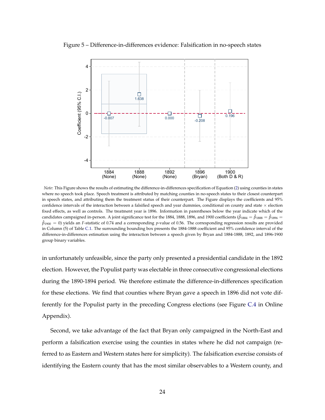<span id="page-23-0"></span>



*Note*: This Figure shows the results of estimating the difference-in-differences specification of Equation [\(2\)](#page-20-0) using counties in states where no speech took place. Speech treatment is attributed by matching counties in no-speech states to their closest counterpart in speech states, and attributing them the treatment status of their counterpart. The Figure displays the coefficients and 95% confidence intervals of the interaction between a falsified speech and year dummies, conditional on county and state  $\times$  election fixed effects, as well as controls. The treatment year is 1896. Information in parentheses below the year indicate which of the candidates campaigned in-person. A joint significance test for the 1884, 1888, 1896, and 1900 coefficients ( $\hat{\beta}_{1884}=\hat{\beta}_{1896}=\hat{\beta}_{1896}=0$  $\hat{\beta}_{1900} = 0$ ) yields an *F*-statistic of 0.74 and a corresponding *p*-value of 0.56. The corresponding regression results are provided in Column (5) of Table [C.1.](#page-0-0) The surrounding bounding box presents the 1884-1888 coefficient and 95% confidence interval of the difference-in-differences estimation using the interaction between a speech given by Bryan and 1884-1888, 1892, and 1896-1900 group binary variables.

in unfortunately unfeasible, since the party only presented a presidential candidate in the 1892 election. However, the Populist party was electable in three consecutive congressional elections during the 1890-1894 period. We therefore estimate the difference-in-differences specification for these elections. We find that counties where Bryan gave a speech in 1896 did not vote differently for the Populist party in the preceding Congress elections (see Figure [C.4](#page-0-0) in Online Appendix).

Second, we take advantage of the fact that Bryan only campaigned in the North-East and perform a falsification exercise using the counties in states where he did not campaign (referred to as Eastern and Western states here for simplicity). The falsification exercise consists of identifying the Eastern county that has the most similar observables to a Western county, and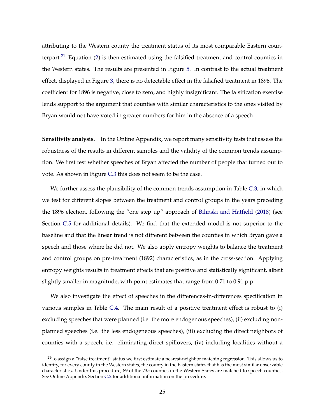attributing to the Western county the treatment status of its most comparable Eastern coun-terpart.<sup>[21](#page-0-0)</sup> Equation [\(2\)](#page-20-0) is then estimated using the falsified treatment and control counties in the Western states. The results are presented in Figure [5.](#page-23-0) In contrast to the actual treatment effect, displayed in Figure [3,](#page-21-0) there is no detectable effect in the falsified treatment in 1896. The coefficient for 1896 is negative, close to zero, and highly insignificant. The falsification exercise lends support to the argument that counties with similar characteristics to the ones visited by Bryan would not have voted in greater numbers for him in the absence of a speech.

**Sensitivity analysis.** In the Online Appendix, we report many sensitivity tests that assess the robustness of the results in different samples and the validity of the common trends assumption. We first test whether speeches of Bryan affected the number of people that turned out to vote. As shown in Figure [C.3](#page-0-0) this does not seem to be the case.

We further assess the plausibility of the common trends assumption in Table [C.3,](#page-0-0) in which we test for different slopes between the treatment and control groups in the years preceding the 1896 election, following the "one step up" approach of [Bilinski and Hatfield](#page-31-10) [\(2018\)](#page-31-10) (see Section [C.5](#page-0-0) for additional details). We find that the extended model is not superior to the baseline and that the linear trend is not different between the counties in which Bryan gave a speech and those where he did not. We also apply entropy weights to balance the treatment and control groups on pre-treatment (1892) characteristics, as in the cross-section. Applying entropy weights results in treatment effects that are positive and statistically significant, albeit slightly smaller in magnitude, with point estimates that range from 0.71 to 0.91 p.p.

We also investigate the effect of speeches in the differences-in-differences specification in various samples in Table [C.4.](#page-0-0) The main result of a positive treatment effect is robust to (i) excluding speeches that were planned (i.e. the more endogenous speeches), (ii) excluding nonplanned speeches (i.e. the less endogeneous speeches), (iii) excluding the direct neighbors of counties with a speech, i.e. eliminating direct spillovers, (iv) including localities without a

 $21$ To assign a "false treatment" status we first estimate a nearest-neighbor matching regression. This allows us to identify, for every county in the Western states, the county in the Eastern states that has the most similar observable characteristics. Under this procedure, 89 of the 735 counties in the Western States are matched to speech counties. See Online Appendix Section [C.2](#page-0-0) for additional information on the procedure.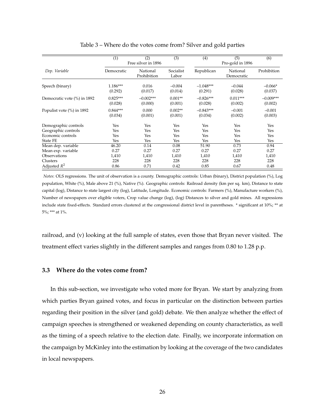<span id="page-25-0"></span>

|                              | (1)        | (2)<br>(3)<br>Free silver in 1896 |                    | (4)         | (6)                    |             |
|------------------------------|------------|-----------------------------------|--------------------|-------------|------------------------|-------------|
| Dep. Variable                | Democratic | National<br>Prohibition           | Socialist<br>Labor | Republican  | National<br>Democratic | Prohibition |
| Speech (binary)              | $1.186***$ | 0.016                             | $-0.004$           | $-1.048***$ | $-0.044$               | $-0.066*$   |
|                              | (0.292)    | (0.017)                           | (0.014)            | (0.291)     | (0.028)                | (0.037)     |
| Democratic vote (%) in 1892  | $0.825***$ | $-0.002***$                       | $0.001**$          | $-0.826***$ | $0.011***$             | $-0.009***$ |
|                              | (0.028)    | (0.000)                           | (0.001)            | (0.028)     | (0.002)                | (0.002)     |
| Populist vote $(\%)$ in 1892 | $0.844***$ | 0.000                             | $0.002**$          | $-0.843***$ | $-0.001$               | $-0.001$    |
|                              | (0.034)    | (0.001)                           | (0.001)            | (0.034)     | (0.002)                | (0.003)     |
| Demographic controls         | Yes        | Yes                               | Yes                | Yes         | Yes                    | Yes         |
| Geographic controls          | Yes        | Yes                               | Yes                | Yes         | Yes                    | Yes         |
| Economic controls            | Yes        | Yes                               | Yes                | Yes         | Yes                    | Yes         |
| <b>State FE</b>              | Yes        | Yes                               | Yes                | Yes         | Yes                    | Yes         |
| Mean dep. variable           | 46.20      | 0.14                              | 0.08               | 51.90       | 0.73                   | 0.94        |
| Mean exp. variable           | 0.27       | 0.27                              | 0.27               | 0.27        | 0.27                   | 0.27        |
| Observations                 | 1,410      | 1,410                             | 1,410              | 1,410       | 1,410                  | 1,410       |
| Clusters                     | 228        | 228                               | 228                | 228         | 228                    | 228         |
| Adjusted $R^2$               | 0.86       | 0.71                              | 0.42               | 0.85        | 0.67                   | 0.48        |

Table 3 – Where do the votes come from? Silver and gold parties

*Notes*: OLS regressions. The unit of observation is a county. Demographic controls: Urban (binary), District population (%), Log population, White (%), Male above 21 (%), Native (%). Geographic controls: Railroad density (km per sq. km), Distance to state capital (log), Distance to state largest city (log), Latitude, Longitude. Economic controls: Farmers (%), Manufacture workers (%), Number of newspapers over eligible voters, Crop value change (log), (log) Distances to silver and gold mines. All regressions include state fixed-effects. Standard errors clustered at the congressional district level in parentheses. \* significant at 10%; \*\* at 5%; \*\*\* at 1%.

railroad, and (v) looking at the full sample of states, even those that Bryan never visited. The treatment effect varies slightly in the different samples and ranges from 0.80 to 1.28 p.p.

#### **3.3 Where do the votes come from?**

In this sub-section, we investigate who voted more for Bryan. We start by analyzing from which parties Bryan gained votes, and focus in particular on the distinction between parties regarding their position in the silver (and gold) debate. We then analyze whether the effect of campaign speeches is strengthened or weakened depending on county characteristics, as well as the timing of a speech relative to the election date. Finally, we incorporate information on the campaign by McKinley into the estimation by looking at the coverage of the two candidates in local newspapers.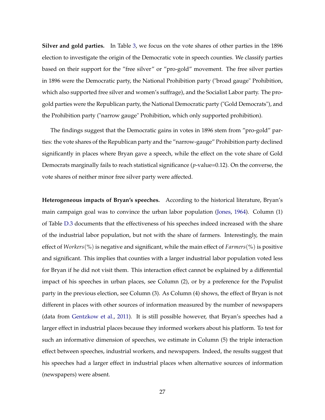**Silver and gold parties.** In Table [3,](#page-25-0) we focus on the vote shares of other parties in the 1896 election to investigate the origin of the Democratic vote in speech counties. We classify parties based on their support for the "free silver" or "pro-gold" movement. The free silver parties in 1896 were the Democratic party, the National Prohibition party ("broad gauge" Prohibition, which also supported free silver and women's suffrage), and the Socialist Labor party. The progold parties were the Republican party, the National Democratic party ("Gold Democrats"), and the Prohibition party ("narrow gauge" Prohibition, which only supported prohibition).

The findings suggest that the Democratic gains in votes in 1896 stem from "pro-gold" parties: the vote shares of the Republican party and the "narrow-gauge" Prohibition party declined significantly in places where Bryan gave a speech, while the effect on the vote share of Gold Democrats marginally fails to reach statistical significance (*p*-value=0.12). On the converse, the vote shares of neither minor free silver party were affected.

**Heterogeneous impacts of Bryan's speeches.** According to the historical literature, Bryan's main campaign goal was to convince the urban labor population [\(Jones,](#page-33-8) [1964\)](#page-33-8). Column (1) of Table [D.3](#page-0-0) documents that the effectiveness of his speeches indeed increased with the share of the industrial labor population, but not with the share of farmers. Interestingly, the main effect of *Workers*(%) is negative and significant, while the main effect of *Farmers*(%) is positive and significant. This implies that counties with a larger industrial labor population voted less for Bryan if he did not visit them. This interaction effect cannot be explained by a differential impact of his speeches in urban places, see Column (2), or by a preference for the Populist party in the previous election, see Column (3). As Column (4) shows, the effect of Bryan is not different in places with other sources of information measured by the number of newspapers (data from [Gentzkow et al.,](#page-32-10) [2011\)](#page-32-10). It is still possible however, that Bryan's speeches had a larger effect in industrial places because they informed workers about his platform. To test for such an informative dimension of speeches, we estimate in Column (5) the triple interaction effect between speeches, industrial workers, and newspapers. Indeed, the results suggest that his speeches had a larger effect in industrial places when alternative sources of information (newspapers) were absent.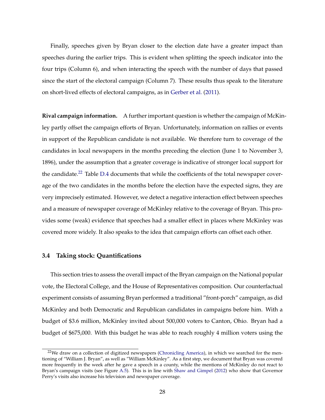Finally, speeches given by Bryan closer to the election date have a greater impact than speeches during the earlier trips. This is evident when splitting the speech indicator into the four trips (Column 6), and when interacting the speech with the number of days that passed since the start of the electoral campaign (Column 7). These results thus speak to the literature on short-lived effects of electoral campaigns, as in [Gerber et al.](#page-32-7) [\(2011\)](#page-32-7).

**Rival campaign information.** A further important question is whether the campaign of McKinley partly offset the campaign efforts of Bryan. Unfortunately, information on rallies or events in support of the Republican candidate is not available. We therefore turn to coverage of the candidates in local newspapers in the months preceding the election (June 1 to November 3, 1896), under the assumption that a greater coverage is indicative of stronger local support for the candidate.<sup>[22](#page-0-0)</sup> Table [D.4](#page-0-0) documents that while the coefficients of the total newspaper coverage of the two candidates in the months before the election have the expected signs, they are very imprecisely estimated. However, we detect a negative interaction effect between speeches and a measure of newspaper coverage of McKinley relative to the coverage of Bryan. This provides some (weak) evidence that speeches had a smaller effect in places where McKinley was covered more widely. It also speaks to the idea that campaign efforts can offset each other.

#### **3.4 Taking stock: Quantifications**

This section tries to assess the overall impact of the Bryan campaign on the National popular vote, the Electoral College, and the House of Representatives composition. Our counterfactual experiment consists of assuming Bryan performed a traditional "front-porch" campaign, as did McKinley and both Democratic and Republican candidates in campaigns before him. With a budget of \$3.6 million, McKinley invited about 500,000 voters to Canton, Ohio. Bryan had a budget of \$675,000. With this budget he was able to reach roughly 4 million voters using the

<sup>&</sup>lt;sup>22</sup>We draw on a collection of digitized newspapers [\(Chronicling America\)](https://chroniclingamerica.loc.gov/), in which we searched for the mentioning of "William J. Bryan", as well as "William McKinley". As a first step, we document that Bryan was covered more frequently in the week after he gave a speech in a county, while the mentions of McKinley do not react to Bryan's campaign visits (see Figure [A.5\)](#page-0-0). This is in line with [Shaw and Gimpel](#page-34-0) [\(2012\)](#page-34-0) who show that Governor Perry's visits also increase his television and newspaper coverage.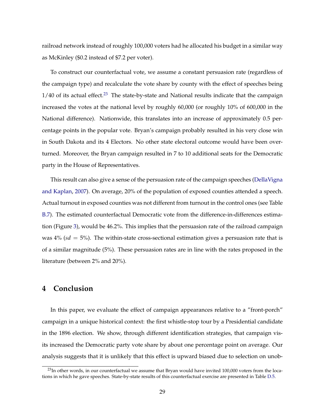railroad network instead of roughly 100,000 voters had he allocated his budget in a similar way as McKinley (\$0.2 instead of \$7.2 per voter).

To construct our counterfactual vote, we assume a constant persuasion rate (regardless of the campaign type) and recalculate the vote share by county with the effect of speeches being  $1/40$  of its actual effect.<sup>[23](#page-0-0)</sup> The state-by-state and National results indicate that the campaign increased the votes at the national level by roughly 60,000 (or roughly 10% of 600,000 in the National difference). Nationwide, this translates into an increase of approximately 0.5 percentage points in the popular vote. Bryan's campaign probably resulted in his very close win in South Dakota and its 4 Electors. No other state electoral outcome would have been overturned. Moreover, the Bryan campaign resulted in 7 to 10 additional seats for the Democratic party in the House of Representatives.

This result can also give a sense of the persuasion rate of the campaign speeches [\(DellaVigna](#page-31-4) [and Kaplan,](#page-31-4) [2007\)](#page-31-4). On average, 20% of the population of exposed counties attended a speech. Actual turnout in exposed counties was not different from turnout in the control ones (see Table [B.7\)](#page-0-0). The estimated counterfactual Democratic vote from the difference-in-differences estimation (Figure [3\)](#page-21-0), would be 46.2%. This implies that the persuasion rate of the railroad campaign was  $4\%$  ( $sd = 5\%$ ). The within-state cross-sectional estimation gives a persuasion rate that is of a similar magnitude (5%). These persuasion rates are in line with the rates proposed in the literature (between 2% and 20%).

# **4 Conclusion**

In this paper, we evaluate the effect of campaign appearances relative to a "front-porch" campaign in a unique historical context: the first whistle-stop tour by a Presidential candidate in the 1896 election. We show, through different identification strategies, that campaign visits increased the Democratic party vote share by about one percentage point on average. Our analysis suggests that it is unlikely that this effect is upward biased due to selection on unob-

<sup>&</sup>lt;sup>23</sup>In other words, in our counterfactual we assume that Bryan would have invited 100,000 voters from the locations in which he gave speeches. State-by-state results of this counterfactual exercise are presented in Table [D.5.](#page-0-0)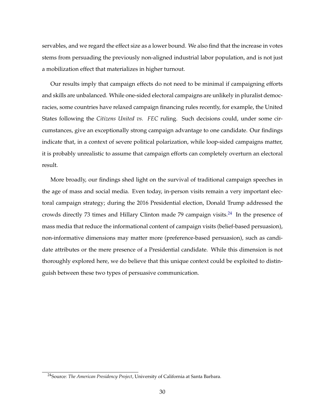servables, and we regard the effect size as a lower bound. We also find that the increase in votes stems from persuading the previously non-aligned industrial labor population, and is not just a mobilization effect that materializes in higher turnout.

Our results imply that campaign effects do not need to be minimal if campaigning efforts and skills are unbalanced. While one-sided electoral campaigns are unlikely in pluralist democracies, some countries have relaxed campaign financing rules recently, for example, the United States following the *Citizens United vs. FEC* ruling. Such decisions could, under some circumstances, give an exceptionally strong campaign advantage to one candidate. Our findings indicate that, in a context of severe political polarization, while loop-sided campaigns matter, it is probably unrealistic to assume that campaign efforts can completely overturn an electoral result.

More broadly, our findings shed light on the survival of traditional campaign speeches in the age of mass and social media. Even today, in-person visits remain a very important electoral campaign strategy; during the 2016 Presidential election, Donald Trump addressed the crowds directly 73 times and Hillary Clinton made 79 campaign visits.[24](#page-0-0) In the presence of mass media that reduce the informational content of campaign visits (belief-based persuasion), non-informative dimensions may matter more (preference-based persuasion), such as candidate attributes or the mere presence of a Presidential candidate. While this dimension is not thoroughly explored here, we do believe that this unique context could be exploited to distinguish between these two types of persuasive communication.

<sup>24</sup>Source: *The American Presidency Project*, University of California at Santa Barbara.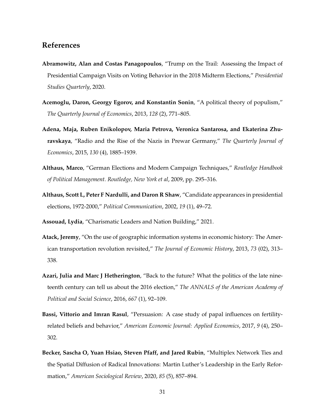### **References**

- <span id="page-30-4"></span>**Abramowitz, Alan and Costas Panagopoulos**, "Trump on the Trail: Assessing the Impact of Presidential Campaign Visits on Voting Behavior in the 2018 Midterm Elections," *Presidential Studies Quarterly*, 2020.
- <span id="page-30-0"></span>**Acemoglu, Daron, Georgy Egorov, and Konstantin Sonin**, "A political theory of populism," *The Quarterly Journal of Economics*, 2013, *128* (2), 771–805.
- <span id="page-30-5"></span>**Adena, Maja, Ruben Enikolopov, Maria Petrova, Veronica Santarosa, and Ekaterina Zhuravskaya**, "Radio and the Rise of the Nazis in Prewar Germany," *The Quarterly Journal of Economics*, 2015, *130* (4), 1885–1939.
- <span id="page-30-2"></span>**Althaus, Marco**, "German Elections and Modern Campaign Techniques," *Routledge Handbook of Political Management. Routledge, New York et al*, 2009, pp. 295–316.
- <span id="page-30-1"></span>**Althaus, Scott L, Peter F Nardulli, and Daron R Shaw**, "Candidate appearances in presidential elections, 1972-2000," *Political Communication*, 2002, *19* (1), 49–72.

<span id="page-30-8"></span>**Assouad, Lydia**, "Charismatic Leaders and Nation Building," 2021.

- <span id="page-30-9"></span>**Atack, Jeremy**, "On the use of geographic information systems in economic history: The American transportation revolution revisited," *The Journal of Economic History*, 2013, *73* (02), 313– 338.
- <span id="page-30-3"></span>**Azari, Julia and Marc J Hetherington**, "Back to the future? What the politics of the late nineteenth century can tell us about the 2016 election," *The ANNALS of the American Academy of Political and Social Science*, 2016, *667* (1), 92–109.
- <span id="page-30-6"></span>**Bassi, Vittorio and Imran Rasul**, "Persuasion: A case study of papal influences on fertilityrelated beliefs and behavior," *American Economic Journal: Applied Economics*, 2017, *9* (4), 250– 302.
- <span id="page-30-7"></span>**Becker, Sascha O, Yuan Hsiao, Steven Pfaff, and Jared Rubin**, "Multiplex Network Ties and the Spatial Diffusion of Radical Innovations: Martin Luther's Leadership in the Early Reformation," *American Sociological Review*, 2020, *85* (5), 857–894.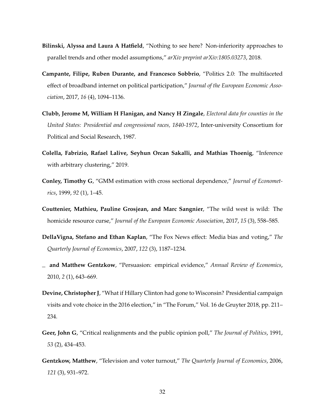- <span id="page-31-10"></span>**Bilinski, Alyssa and Laura A Hatfield**, "Nothing to see here? Non-inferiority approaches to parallel trends and other model assumptions," *arXiv preprint arXiv:1805.03273*, 2018.
- <span id="page-31-3"></span>**Campante, Filipe, Ruben Durante, and Francesco Sobbrio**, "Politics 2.0: The multifaceted effect of broadband internet on political participation," *Journal of the European Economic Association*, 2017, *16* (4), 1094–1136.
- <span id="page-31-6"></span>**Clubb, Jerome M, William H Flanigan, and Nancy H Zingale**, *Electoral data for counties in the United States: Presidential and congressional races, 1840-1972*, Inter-university Consortium for Political and Social Research, 1987.
- <span id="page-31-9"></span>**Colella, Fabrizio, Rafael Lalive, Seyhun Orcan Sakalli, and Mathias Thoenig**, "Inference with arbitrary clustering," 2019.
- <span id="page-31-8"></span>**Conley, Timothy G**, "GMM estimation with cross sectional dependence," *Journal of Econometrics*, 1999, *92* (1), 1–45.
- <span id="page-31-7"></span>**Couttenier, Mathieu, Pauline Grosjean, and Marc Sangnier**, "The wild west is wild: The homicide resource curse," *Journal of the European Economic Association*, 2017, *15* (3), 558–585.
- <span id="page-31-4"></span>**DellaVigna, Stefano and Ethan Kaplan**, "The Fox News effect: Media bias and voting," *The Quarterly Journal of Economics*, 2007, *122* (3), 1187–1234.
- <span id="page-31-0"></span>**and Matthew Gentzkow**, "Persuasion: empirical evidence," *Annual Review of Economics*, 2010, *2* (1), 643–669.
- <span id="page-31-1"></span>**Devine, Christopher J**, "What if Hillary Clinton had gone to Wisconsin? Presidential campaign visits and vote choice in the 2016 election," in "The Forum," Vol. 16 de Gruyter 2018, pp. 211– 234.
- <span id="page-31-5"></span>**Geer, John G**, "Critical realignments and the public opinion poll," *The Journal of Politics*, 1991, *53* (2), 434–453.
- <span id="page-31-2"></span>**Gentzkow, Matthew**, "Television and voter turnout," *The Quarterly Journal of Economics*, 2006, *121* (3), 931–972.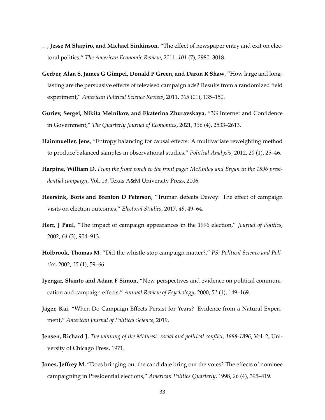- <span id="page-32-10"></span>**, Jesse M Shapiro, and Michael Sinkinson**, "The effect of newspaper entry and exit on electoral politics," *The American Economic Review*, 2011, *101* (7), 2980–3018.
- <span id="page-32-7"></span>**Gerber, Alan S, James G Gimpel, Donald P Green, and Daron R Shaw**, "How large and longlasting are the persuasive effects of televised campaign ads? Results from a randomized field experiment," *American Political Science Review*, 2011, *105* (01), 135–150.
- <span id="page-32-6"></span>**Guriev, Sergei, Nikita Melnikov, and Ekaterina Zhuravskaya**, "3G Internet and Confidence in Government," *The Quarterly Journal of Economics*, 2021, *136* (4), 2533–2613.
- <span id="page-32-11"></span>**Hainmueller, Jens**, "Entropy balancing for causal effects: A multivariate reweighting method to produce balanced samples in observational studies," *Political Analysis*, 2012, *20* (1), 25–46.
- <span id="page-32-9"></span>**Harpine, William D**, *From the front porch to the front page: McKinley and Bryan in the 1896 presidential campaign*, Vol. 13, Texas A&M University Press, 2006.
- <span id="page-32-4"></span>**Heersink, Boris and Brenton D Peterson**, "Truman defeats Dewey: The effect of campaign visits on election outcomes," *Electoral Studies*, 2017, *49*, 49–64.
- <span id="page-32-2"></span>**Herr, J Paul**, "The impact of campaign appearances in the 1996 election," *Journal of Politics*, 2002, *64* (3), 904–913.
- <span id="page-32-3"></span>**Holbrook, Thomas M**, "Did the whistle-stop campaign matter?," *PS: Political Science and Politics*, 2002, *35* (1), 59–66.
- <span id="page-32-0"></span>**Iyengar, Shanto and Adam F Simon**, "New perspectives and evidence on political communication and campaign effects," *Annual Review of Psychology*, 2000, *51* (1), 149–169.
- <span id="page-32-5"></span>**Jäger, Kai**, "When Do Campaign Effects Persist for Years? Evidence from a Natural Experiment," *American Journal of Political Science*, 2019.
- <span id="page-32-8"></span>**Jensen, Richard J**, *The winning of the Midwest: social and political conflict, 1888-1896*, Vol. 2, University of Chicago Press, 1971.
- <span id="page-32-1"></span>**Jones, Jeffrey M**, "Does bringing out the candidate bring out the votes? The effects of nominee campaigning in Presidential elections," *American Politics Quarterly*, 1998, *26* (4), 395–419.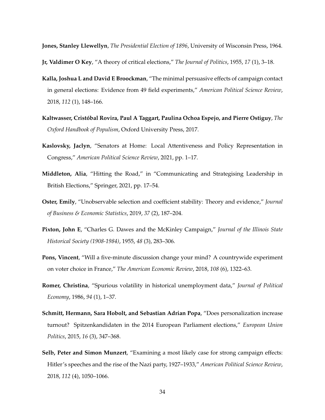<span id="page-33-8"></span>**Jones, Stanley Llewellyn**, *The Presidential Election of 1896*, University of Wisconsin Press, 1964.

- <span id="page-33-4"></span>**Jr, Valdimer O Key**, "A theory of critical elections," *The Journal of Politics*, 1955, *17* (1), 3–18.
- <span id="page-33-1"></span>**Kalla, Joshua L and David E Broockman**, "The minimal persuasive effects of campaign contact in general elections: Evidence from 49 field experiments," *American Political Science Review*, 2018, *112* (1), 148–166.
- <span id="page-33-0"></span>**Kaltwasser, Cristóbal Rovira, Paul A Taggart, Paulina Ochoa Espejo, and Pierre Ostiguy**, *The Oxford Handbook of Populism*, Oxford University Press, 2017.
- <span id="page-33-10"></span>**Kaslovsky, Jaclyn**, "Senators at Home: Local Attentiveness and Policy Representation in Congress," *American Political Science Review*, 2021, pp. 1–17.
- <span id="page-33-2"></span>**Middleton, Alia**, "Hitting the Road," in "Communicating and Strategising Leadership in British Elections," Springer, 2021, pp. 17–54.
- <span id="page-33-11"></span>**Oster, Emily**, "Unobservable selection and coefficient stability: Theory and evidence," *Journal of Business & Economic Statistics*, 2019, *37* (2), 187–204.
- <span id="page-33-9"></span>**Pixton, John E**, "Charles G. Dawes and the McKinley Campaign," *Journal of the Illinois State Historical Society (1908-1984)*, 1955, *48* (3), 283–306.
- <span id="page-33-6"></span>**Pons, Vincent**, "Will a five-minute discussion change your mind? A countrywide experiment on voter choice in France," *The American Economic Review*, 2018, *108* (6), 1322–63.
- <span id="page-33-7"></span>**Romer, Christina**, "Spurious volatility in historical unemployment data," *Journal of Political Economy*, 1986, *94* (1), 1–37.
- <span id="page-33-3"></span>**Schmitt, Hermann, Sara Hobolt, and Sebastian Adrian Popa**, "Does personalization increase turnout? Spitzenkandidaten in the 2014 European Parliament elections," *European Union Politics*, 2015, *16* (3), 347–368.
- <span id="page-33-5"></span>**Selb, Peter and Simon Munzert**, "Examining a most likely case for strong campaign effects: Hitler's speeches and the rise of the Nazi party, 1927–1933," *American Political Science Review*, 2018, *112* (4), 1050–1066.